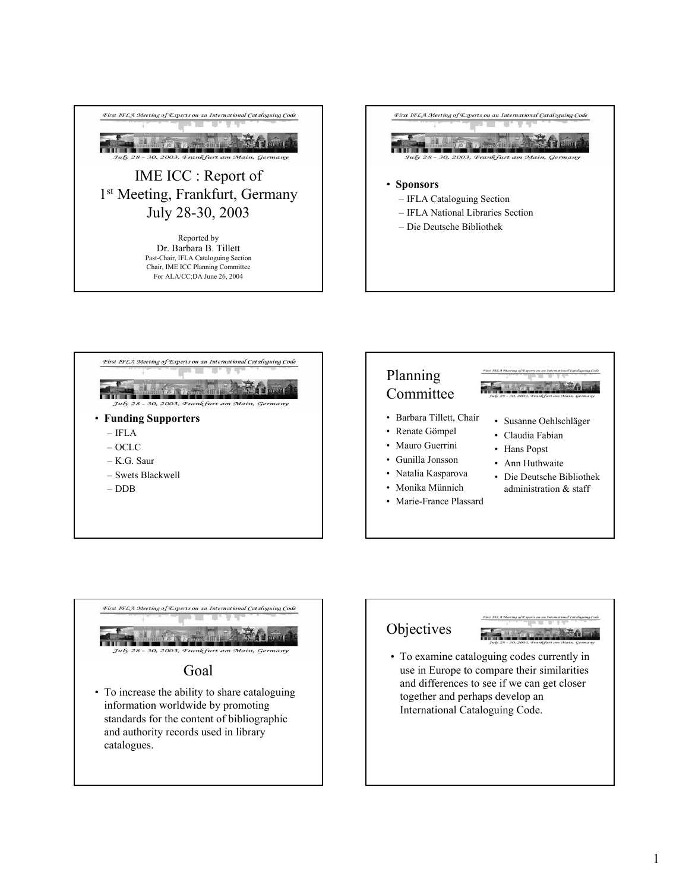









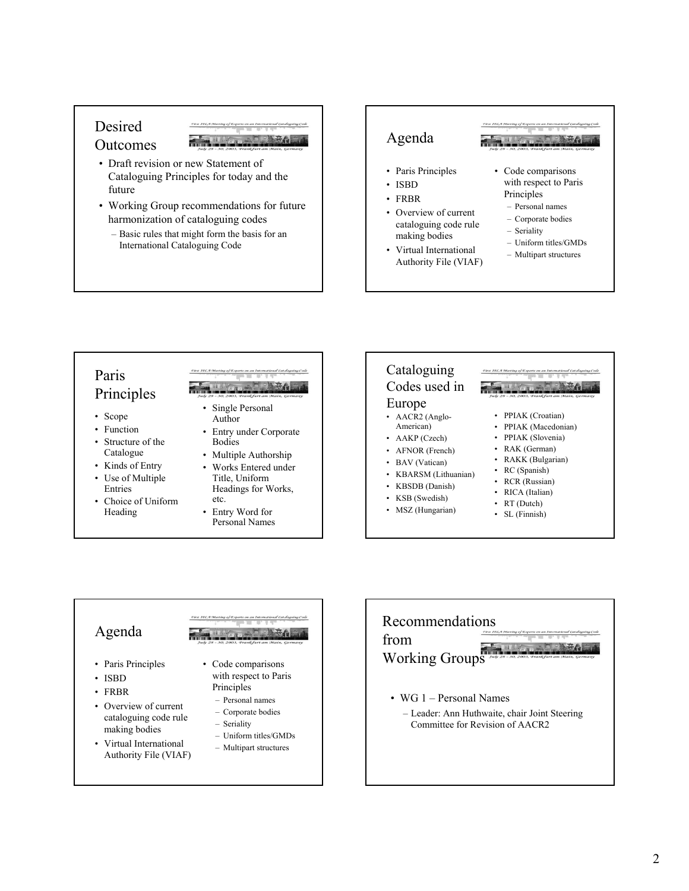### Desired **Outcomes**

- Draft revision or new Statement of Cataloguing Principles for today and the future
- Working Group recommendations for future harmonization of cataloguing codes
	- Basic rules that might form the basis for an International Cataloguing Code

### Agenda

- Paris Principles
- ISBD
- FRBR
- Overview of current cataloguing code rule making bodies
- Virtual International Authority File (VIAF)
- Code comparisons with respect to Paris Principles
	- Personal names
	- Corporate bodies
	- Seriality
	- Uniform titles/GMDs
	- Multipart structures

# Paris Principles

- Scope
- Function
- Structure of the Catalogue
- Kinds of Entry
- Use of Multiple Entries
- Choice of Uniform Heading

- Single Personal Author
- Entry under Corporate Bodies
- Multiple Authorship
- Works Entered under Title, Uniform Headings for Works, etc.
- Entry Word for
	- Personal Names

### Cataloguing Codes used in Europe • AACR2 (Anglo-

- American)
- AAKP (Czech)
- AFNOR (French)
- BAV (Vatican)
- KBARSM (Lithuanian)
- KBSDB (Danish)
- KSB (Swedish)
- MSZ (Hungarian)

- PPIAK (Croatian)
	- PPIAK (Macedonian)
	- PPIAK (Slovenia)
- RAK (German)
- RAKK (Bulgarian)
- RC (Spanish)
- RCR (Russian)
- RICA (Italian)
- RT (Dutch)
- SL (Finnish)

# Agenda

- Paris Principles
- ISBD
- FRBR
- Overview of current cataloguing code rule making bodies
- Virtual International Authority File (VIAF)

- Code comparisons with respect to Paris Principles
	- Personal names
	- Corporate bodies
	- Seriality
	- Uniform titles/GMDs
	- Multipart structures



– Leader: Ann Huthwaite, chair Joint Steering Committee for Revision of AACR2

- 
- 
-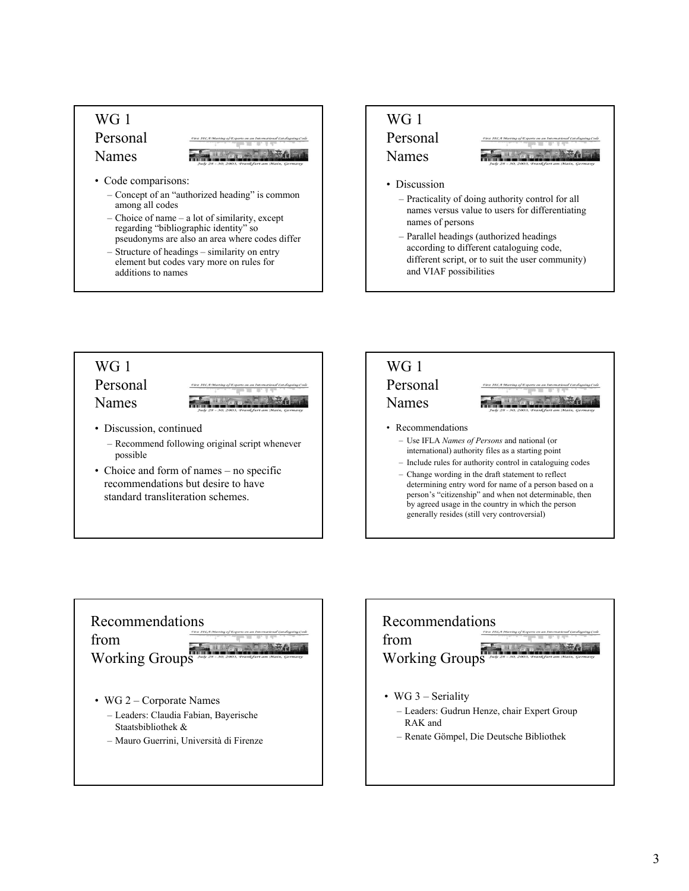# W<sub>G</sub> 1 Personal Names • Code comparisons:

- Concept of an "authorized heading" is common among all codes
- Choice of name a lot of similarity, except regarding "bibliographic identity" so pseudonyms are also an area where codes differ
- Structure of headings similarity on entry element but codes vary more on rules for additions to names



- names versus value to users for differentiating names of persons – Parallel headings (authorized headings
- according to different cataloguing code, different script, or to suit the user community) and VIAF possibilities

## WG 1 Personal Names • Discussion, continued – Recommend following original script whenever possible

• Choice and form of names – no specific recommendations but desire to have standard transliteration schemes.



person's "citizenship" and when not determinable, then by agreed usage in the country in which the person generally resides (still very controversial)



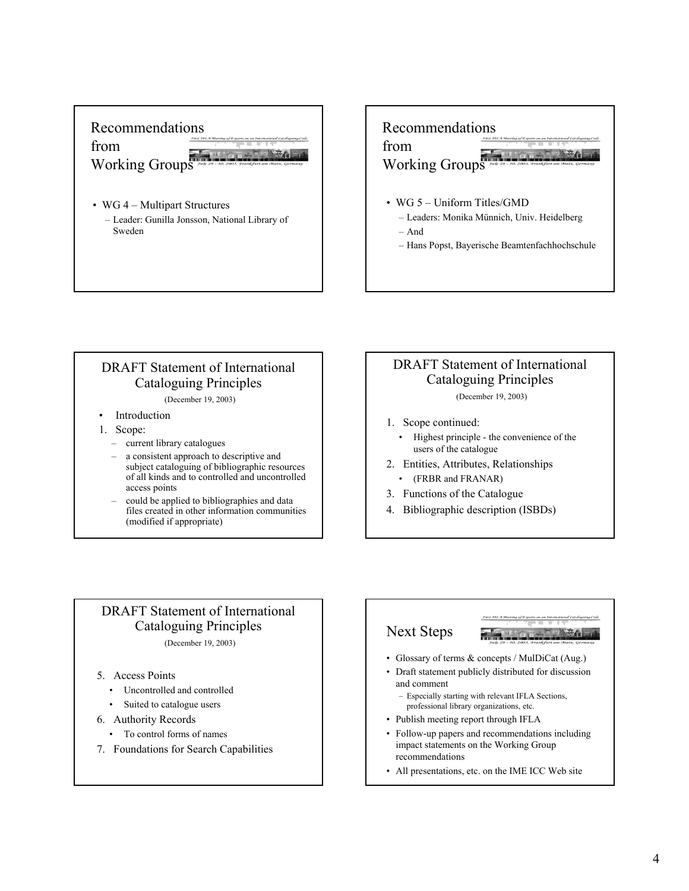# Recommendations from Working Groups

- WG 4 Multipart Structures
	- Leader: Gunilla Jonsson, National Library of Sweden

# Recommendations from Working Groups

- WG 5 Uniform Titles/GMD
	- Leaders: Monika Münnich, Univ. Heidelberg
	- And
	- Hans Popst, Bayerische Beamtenfachhochschule

### DRAFT Statement of International Cataloguing Principles

(December 19, 2003)

- Introduction
- 1. Scope:
	- current library catalogues
	- a consistent approach to descriptive and subject cataloguing of bibliographic resources of all kinds and to controlled and uncontrolled access points
	- could be applied to bibliographies and data files created in other information communities (modified if appropriate)

# DRAFT Statement of International Cataloguing Principles

(December 19, 2003)

- 1. Scope continued:
	- Highest principle the convenience of the users of the catalogue
- 2. Entities, Attributes, Relationships • (FRBR and FRANAR)
- 3. Functions of the Catalogue
- 4. Bibliographic description (ISBDs)

# DRAFT Statement of International Cataloguing Principles

(December 19, 2003)

- 5. Access Points
	- Uncontrolled and controlled
	- Suited to catalogue users
- 6. Authority Records
	- To control forms of names
- 7. Foundations for Search Capabilities